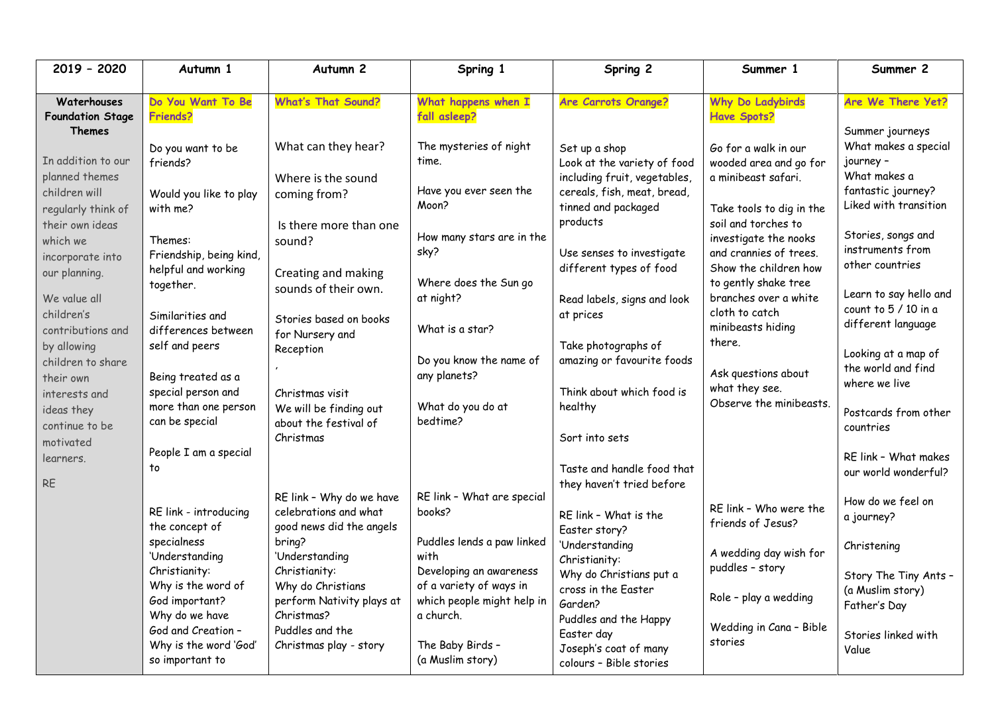| 2019 - 2020                                                                                                                                                                            | Autumn 1                                                                                                                                                                                                                                             | Autumn <sub>2</sub>                                                                                                                                                                                                                                  | Spring 1                                                                                                                                                                                                            | Spring 2                                                                                                                                                                                                                                                                                                       | Summer 1                                                                                                                                                                                                              | Summer 2                                                                                                                                                                                                 |
|----------------------------------------------------------------------------------------------------------------------------------------------------------------------------------------|------------------------------------------------------------------------------------------------------------------------------------------------------------------------------------------------------------------------------------------------------|------------------------------------------------------------------------------------------------------------------------------------------------------------------------------------------------------------------------------------------------------|---------------------------------------------------------------------------------------------------------------------------------------------------------------------------------------------------------------------|----------------------------------------------------------------------------------------------------------------------------------------------------------------------------------------------------------------------------------------------------------------------------------------------------------------|-----------------------------------------------------------------------------------------------------------------------------------------------------------------------------------------------------------------------|----------------------------------------------------------------------------------------------------------------------------------------------------------------------------------------------------------|
| Waterhouses<br><b>Foundation Stage</b><br><b>Themes</b>                                                                                                                                | Do You Want To Be<br>Friends?                                                                                                                                                                                                                        | <b>What's That Sound?</b>                                                                                                                                                                                                                            | What happens when I<br>fall asleep?                                                                                                                                                                                 | <b>Are Carrots Orange?</b>                                                                                                                                                                                                                                                                                     | <b>Why Do Ladybirds</b><br><b>Have Spots?</b>                                                                                                                                                                         | Are We There Yet?<br>Summer journeys                                                                                                                                                                     |
| In addition to our<br>planned themes<br>children will<br>regularly think of<br>their own ideas<br>which we                                                                             | Do you want to be<br>friends?<br>Would you like to play<br>with me?<br>Themes:                                                                                                                                                                       | What can they hear?<br>Where is the sound<br>coming from?<br>Is there more than one<br>sound?                                                                                                                                                        | The mysteries of night<br>time.<br>Have you ever seen the<br>Moon?<br>How many stars are in the                                                                                                                     | Set up a shop<br>Look at the variety of food<br>including fruit, vegetables,<br>cereals, fish, meat, bread,<br>tinned and packaged<br>products                                                                                                                                                                 | Go for a walk in our<br>wooded area and go for<br>a minibeast safari.<br>Take tools to dig in the<br>soil and torches to<br>investigate the nooks                                                                     | What makes a special<br>journey -<br>What makes a<br>fantastic journey?<br>Liked with transition<br>Stories, songs and                                                                                   |
| incorporate into<br>our planning.<br>We value all<br>children's<br>contributions and<br>by allowing<br>children to share<br>their own<br>interests and<br>ideas they<br>continue to be | Friendship, being kind,<br>helpful and working<br>together.<br>Similarities and<br>differences between<br>self and peers<br>Being treated as a<br>special person and<br>more than one person<br>can be special                                       | Creating and making<br>sounds of their own.<br>Stories based on books<br>for Nursery and<br>Reception<br>Christmas visit<br>We will be finding out<br>about the festival of                                                                          | sky?<br>Where does the Sun go<br>at night?<br>What is a star?<br>Do you know the name of<br>any planets?<br>What do you do at<br>bedtime?                                                                           | Use senses to investigate<br>different types of food<br>Read labels, signs and look<br>at prices<br>Take photographs of<br>amazing or favourite foods<br>Think about which food is<br>healthy                                                                                                                  | and crannies of trees.<br>Show the children how<br>to gently shake tree<br>branches over a white<br>cloth to catch<br>minibeasts hiding<br>there.<br>Ask questions about<br>what they see.<br>Observe the minibeasts. | instruments from<br>other countries<br>Learn to say hello and<br>count to 5 / 10 in a<br>different language<br>Looking at a map of<br>the world and find<br>where we live<br>Postcards from other        |
| motivated<br>learners.<br><b>RE</b>                                                                                                                                                    | People I am a special<br>to<br>RE link - introducing<br>the concept of<br>specialness<br>'Understanding<br>Christianity:<br>Why is the word of<br>God important?<br>Why do we have<br>God and Creation -<br>Why is the word 'God'<br>so important to | Christmas<br>RE link - Why do we have<br>celebrations and what<br>good news did the angels<br>bring?<br>'Understanding<br>Christianity:<br>Why do Christians<br>perform Nativity plays at<br>Christmas?<br>Puddles and the<br>Christmas play - story | RE link - What are special<br>books?<br>Puddles lends a paw linked<br>with<br>Developing an awareness<br>of a variety of ways in<br>which people might help in<br>a church.<br>The Baby Birds -<br>(a Muslim story) | Sort into sets<br>Taste and handle food that<br>they haven't tried before<br>RE link - What is the<br>Easter story?<br>'Understanding<br>Christianity:<br>Why do Christians put a<br>cross in the Easter<br>Garden?<br>Puddles and the Happy<br>Easter day<br>Joseph's coat of many<br>colours - Bible stories | RE link - Who were the<br>friends of Jesus?<br>A wedding day wish for<br>puddles - story<br>Role - play a wedding<br>Wedding in Cana - Bible<br>stories                                                               | countries<br>RE link - What makes<br>our world wonderful?<br>How do we feel on<br>a journey?<br>Christening<br>Story The Tiny Ants -<br>(a Muslim story)<br>Father's Day<br>Stories linked with<br>Value |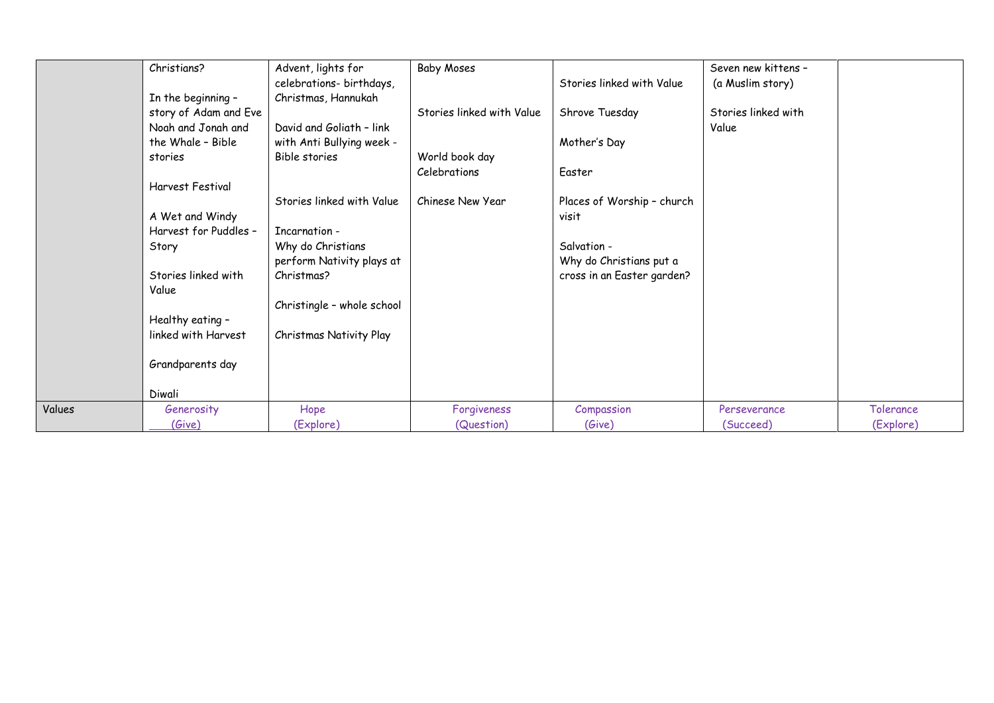|        | Christians?           | Advent, lights for         | <b>Baby Moses</b>         |                            | Seven new kittens - |           |
|--------|-----------------------|----------------------------|---------------------------|----------------------------|---------------------|-----------|
|        |                       | celebrations- birthdays,   |                           | Stories linked with Value  | (a Muslim story)    |           |
|        | In the beginning -    | Christmas, Hannukah        |                           |                            |                     |           |
|        | story of Adam and Eve |                            | Stories linked with Value | Shrove Tuesday             | Stories linked with |           |
|        | Noah and Jonah and    | David and Goliath - link   |                           |                            | Value               |           |
|        | the Whale - Bible     | with Anti Bullying week -  |                           | Mother's Day               |                     |           |
|        | stories               | Bible stories              | World book day            |                            |                     |           |
|        |                       |                            | Celebrations              | Easter                     |                     |           |
|        | Harvest Festival      |                            |                           |                            |                     |           |
|        |                       | Stories linked with Value  | Chinese New Year          | Places of Worship - church |                     |           |
|        | A Wet and Windy       |                            |                           | visit                      |                     |           |
|        | Harvest for Puddles - | Incarnation -              |                           |                            |                     |           |
|        | Story                 | Why do Christians          |                           | Salvation -                |                     |           |
|        |                       | perform Nativity plays at  |                           | Why do Christians put a    |                     |           |
|        | Stories linked with   | Christmas?                 |                           | cross in an Easter garden? |                     |           |
|        | Value                 |                            |                           |                            |                     |           |
|        |                       | Christingle - whole school |                           |                            |                     |           |
|        | Healthy eating -      |                            |                           |                            |                     |           |
|        | linked with Harvest   | Christmas Nativity Play    |                           |                            |                     |           |
|        |                       |                            |                           |                            |                     |           |
|        | Grandparents day      |                            |                           |                            |                     |           |
|        | Diwali                |                            |                           |                            |                     |           |
| Values | Generosity            | Hope                       | Forgiveness               | Compassion                 | Perseverance        | Tolerance |
|        | (Give)                | (Explore)                  | (Question)                | (Give)                     | (Succeed)           | (Explore) |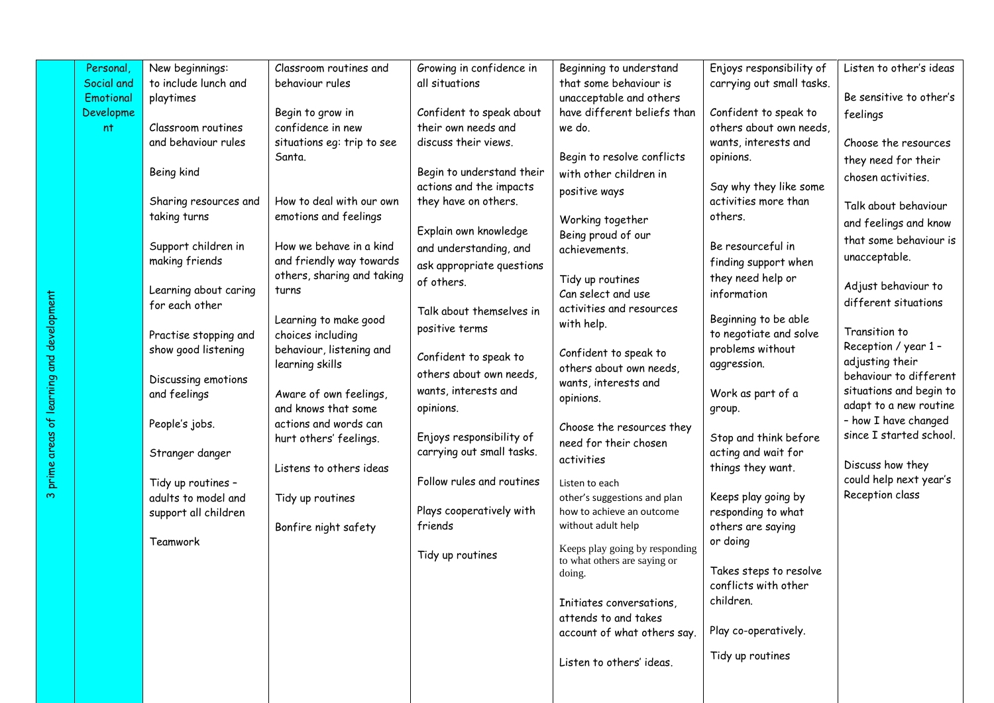|                                           | Personal   | New beginnings:                           | Classroom routines and     | Growing in confidence in  | Beginning to understand                                        | Enjoys responsibility of                 | Listen to other's ideas                         |
|-------------------------------------------|------------|-------------------------------------------|----------------------------|---------------------------|----------------------------------------------------------------|------------------------------------------|-------------------------------------------------|
|                                           | Social and | to include lunch and                      | behaviour rules            | all situations            | that some behaviour is                                         | carrying out small tasks.                |                                                 |
|                                           | Emotional  | playtimes                                 |                            |                           | unacceptable and others                                        |                                          | Be sensitive to other's                         |
|                                           | Developme  |                                           | Begin to grow in           | Confident to speak about  | have different beliefs than                                    | Confident to speak to                    | feelings                                        |
|                                           | nt         | Classroom routines                        | confidence in new          | their own needs and       | we do.                                                         | others about own needs,                  |                                                 |
|                                           |            | and behaviour rules                       | situations eg: trip to see | discuss their views.      |                                                                | wants, interests and                     | Choose the resources                            |
|                                           |            |                                           | Santa.                     |                           | Begin to resolve conflicts                                     | opinions.                                | they need for their                             |
|                                           |            | Being kind                                |                            | Begin to understand their | with other children in                                         |                                          | chosen activities.                              |
|                                           |            |                                           |                            | actions and the impacts   | positive ways                                                  | Say why they like some                   |                                                 |
|                                           |            | Sharing resources and                     | How to deal with our own   | they have on others.      |                                                                | activities more than                     | Talk about behaviour                            |
|                                           |            | taking turns                              | emotions and feelings      |                           | Working together                                               | others.                                  | and feelings and know                           |
|                                           |            | Support children in                       | How we behave in a kind    | Explain own knowledge     | Being proud of our                                             | Be resourceful in                        | that some behaviour is                          |
|                                           |            | making friends                            | and friendly way towards   | and understanding, and    | achievements.                                                  | finding support when                     | unacceptable.                                   |
|                                           |            |                                           | others, sharing and taking | ask appropriate questions |                                                                | they need help or                        |                                                 |
|                                           |            | Learning about caring                     | turns                      | of others.                | Tidy up routines<br>Can select and use                         | information                              | Adjust behaviour to                             |
|                                           |            | for each other                            |                            |                           | activities and resources                                       |                                          | different situations                            |
|                                           |            |                                           | Learning to make good      | Talk about themselves in  | with help.                                                     | Beginning to be able                     |                                                 |
|                                           |            | Practise stopping and                     | choices including          | positive terms            |                                                                | to negotiate and solve                   | Transition to                                   |
|                                           |            | show good listening                       | behaviour, listening and   |                           | Confident to speak to                                          | problems without                         | Reception / year 1 -                            |
|                                           |            |                                           | learning skills            | Confident to speak to     | others about own needs,                                        | aggression.                              | adjusting their                                 |
|                                           |            | Discussing emotions                       |                            | others about own needs,   | wants, interests and                                           |                                          | behaviour to different                          |
|                                           |            | and feelings                              | Aware of own feelings,     | wants, interests and      | opinions.                                                      | Work as part of a                        | situations and begin to                         |
|                                           |            |                                           | and knows that some        | opinions.                 |                                                                | group.                                   | adapt to a new routine                          |
|                                           |            | People's jobs.                            | actions and words can      |                           | Choose the resources they                                      |                                          | - how I have changed<br>since I started school. |
|                                           |            |                                           | hurt others' feelings.     | Enjoys responsibility of  | need for their chosen                                          | Stop and think before                    |                                                 |
| 3 prime areas of learning and development |            | Stranger danger                           |                            | carrying out small tasks. | activities                                                     | acting and wait for<br>things they want. | Discuss how they                                |
|                                           |            |                                           | Listens to others ideas    | Follow rules and routines |                                                                |                                          | could help next year's                          |
|                                           |            | Tidy up routines -<br>adults to model and | Tidy up routines           |                           | Listen to each<br>other's suggestions and plan                 | Keeps play going by                      | Reception class                                 |
|                                           |            | support all children                      |                            | Plays cooperatively with  | how to achieve an outcome                                      | responding to what                       |                                                 |
|                                           |            |                                           | Bonfire night safety       | friends                   | without adult help                                             | others are saying                        |                                                 |
|                                           |            | Teamwork                                  |                            |                           |                                                                | or doing                                 |                                                 |
|                                           |            |                                           |                            | Tidy up routines          | Keeps play going by responding<br>to what others are saying or |                                          |                                                 |
|                                           |            |                                           |                            |                           | doing.                                                         | Takes steps to resolve                   |                                                 |
|                                           |            |                                           |                            |                           |                                                                | conflicts with other                     |                                                 |
|                                           |            |                                           |                            |                           | Initiates conversations,                                       | children.                                |                                                 |
|                                           |            |                                           |                            |                           | attends to and takes                                           |                                          |                                                 |
|                                           |            |                                           |                            |                           | account of what others say.                                    | Play co-operatively.                     |                                                 |
|                                           |            |                                           |                            |                           |                                                                |                                          |                                                 |
|                                           |            |                                           |                            |                           | Listen to others' ideas.                                       | Tidy up routines                         |                                                 |
|                                           |            |                                           |                            |                           |                                                                |                                          |                                                 |
|                                           |            |                                           |                            |                           |                                                                |                                          |                                                 |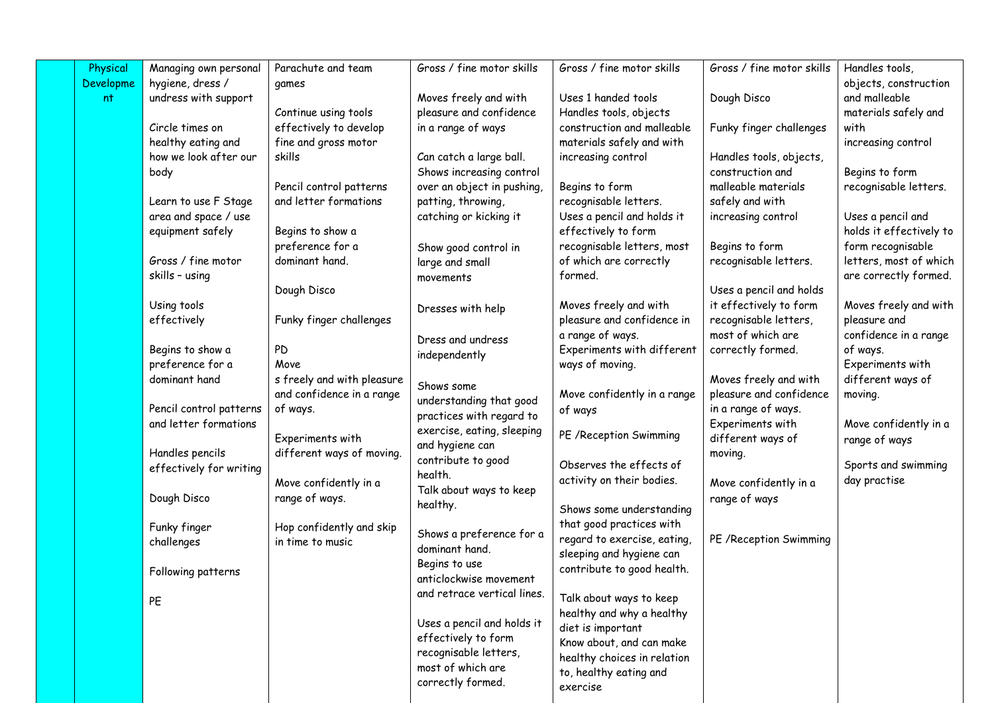| Physical  | Managing own personal   | Parachute and team         | Gross / fine motor skills   | Gross / fine motor skills                               | Gross / fine motor skills | Handles tools,          |
|-----------|-------------------------|----------------------------|-----------------------------|---------------------------------------------------------|---------------------------|-------------------------|
| Developme | hygiene, dress /        | games                      |                             |                                                         |                           | objects, construction   |
| nt        | undress with support    |                            | Moves freely and with       | Uses 1 handed tools                                     | Dough Disco               | and malleable           |
|           |                         | Continue using tools       | pleasure and confidence     | Handles tools, objects                                  |                           | materials safely and    |
|           | Circle times on         | effectively to develop     | in a range of ways          | construction and malleable                              | Funky finger challenges   | with                    |
|           | healthy eating and      | fine and gross motor       |                             | materials safely and with                               |                           | increasing control      |
|           | how we look after our   | skills                     | Can catch a large ball.     | increasing control                                      | Handles tools, objects,   |                         |
|           | body                    |                            | Shows increasing control    |                                                         | construction and          | Begins to form          |
|           |                         | Pencil control patterns    | over an object in pushing,  | Begins to form                                          | malleable materials       | recognisable letters.   |
|           | Learn to use F Stage    | and letter formations      | patting, throwing,          | recognisable letters.                                   | safely and with           |                         |
|           | area and space / use    |                            | catching or kicking it      | Uses a pencil and holds it                              | increasing control        | Uses a pencil and       |
|           | equipment safely        | Begins to show a           |                             | effectively to form                                     |                           | holds it effectively to |
|           |                         | preference for a           | Show good control in        | recognisable letters, most                              | Begins to form            | form recognisable       |
|           | Gross / fine motor      | dominant hand.             | large and small             | of which are correctly                                  | recognisable letters.     | letters, most of which  |
|           | skills - using          |                            | movements                   | formed.                                                 |                           | are correctly formed.   |
|           |                         | Dough Disco                |                             |                                                         | Uses a pencil and holds   |                         |
|           | Using tools             |                            | Dresses with help           | Moves freely and with                                   | it effectively to form    | Moves freely and with   |
|           | effectively             | Funky finger challenges    |                             | pleasure and confidence in                              | recognisable letters,     | pleasure and            |
|           |                         |                            | Dress and undress           | a range of ways.                                        | most of which are         | confidence in a range   |
|           | Begins to show a        | PD                         | independently               | Experiments with different                              | correctly formed.         | of ways.                |
|           | preference for a        | Move                       |                             | ways of moving.                                         |                           | Experiments with        |
|           | dominant hand           | s freely and with pleasure | Shows some                  |                                                         | Moves freely and with     | different ways of       |
|           |                         | and confidence in a range  | understanding that good     | Move confidently in a range                             | pleasure and confidence   | moving.                 |
|           | Pencil control patterns | of ways.                   | practices with regard to    | of ways                                                 | in a range of ways.       |                         |
|           | and letter formations   |                            | exercise, eating, sleeping  |                                                         | Experiments with          | Move confidently in a   |
|           |                         | Experiments with           | and hygiene can             | PE / Reception Swimming                                 | different ways of         | range of ways           |
|           | Handles pencils         | different ways of moving.  | contribute to good          |                                                         | moving.                   |                         |
|           | effectively for writing |                            | health.                     | Observes the effects of                                 |                           | Sports and swimming     |
|           |                         | Move confidently in a      | Talk about ways to keep     | activity on their bodies.                               | Move confidently in a     | day practise            |
|           | Dough Disco             | range of ways.             | healthy.                    |                                                         | range of ways             |                         |
|           |                         |                            |                             | Shows some understanding                                |                           |                         |
|           | Funky finger            | Hop confidently and skip   | Shows a preference for a    | that good practices with<br>regard to exercise, eating, |                           |                         |
|           | challenges              | in time to music           | dominant hand.              | sleeping and hygiene can                                | PE / Reception Swimming   |                         |
|           |                         |                            | Begins to use               | contribute to good health.                              |                           |                         |
|           | Following patterns      |                            | anticlockwise movement      |                                                         |                           |                         |
|           |                         |                            | and retrace vertical lines. | Talk about ways to keep                                 |                           |                         |
|           | PE                      |                            |                             | healthy and why a healthy                               |                           |                         |
|           |                         |                            | Uses a pencil and holds it  | diet is important                                       |                           |                         |
|           |                         |                            | effectively to form         | Know about, and can make                                |                           |                         |
|           |                         |                            | recognisable letters,       | healthy choices in relation                             |                           |                         |
|           |                         |                            | most of which are           | to, healthy eating and                                  |                           |                         |
|           |                         |                            | correctly formed.           | exercise                                                |                           |                         |
|           |                         |                            |                             |                                                         |                           |                         |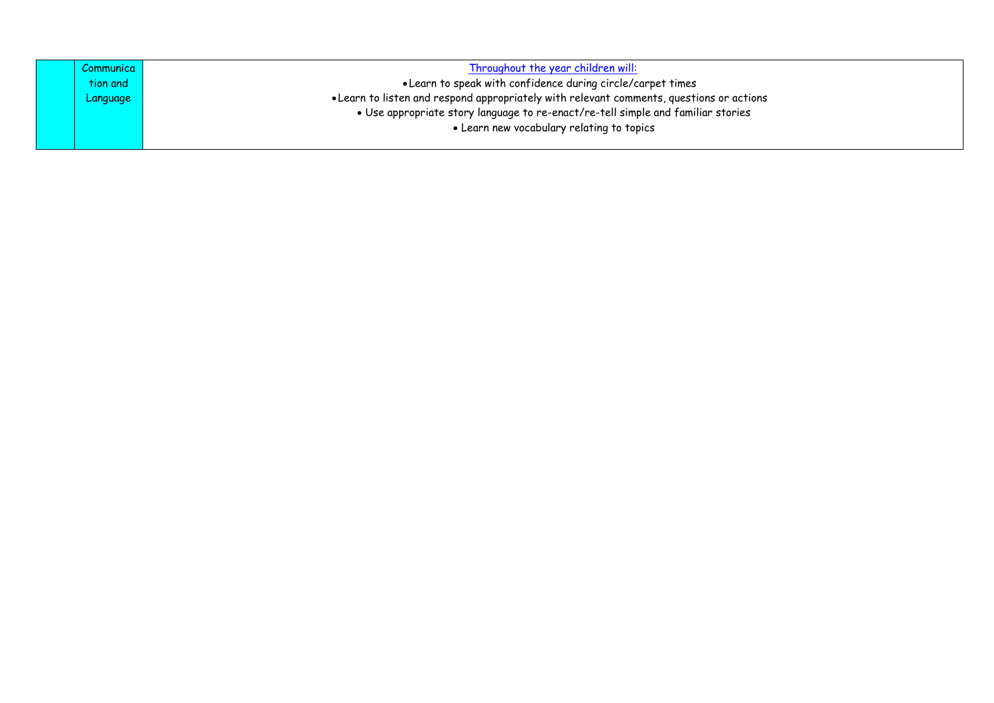| Communica | Throughout the year children will:                                                       |
|-----------|------------------------------------------------------------------------------------------|
| tion and  | • Learn to speak with confidence during circle/carpet times                              |
| Language  | • Learn to listen and respond appropriately with relevant comments, questions or actions |
|           | • Use appropriate story language to re-enact/re-tell simple and familiar stories         |
|           | • Learn new vocabulary relating to topics                                                |
|           |                                                                                          |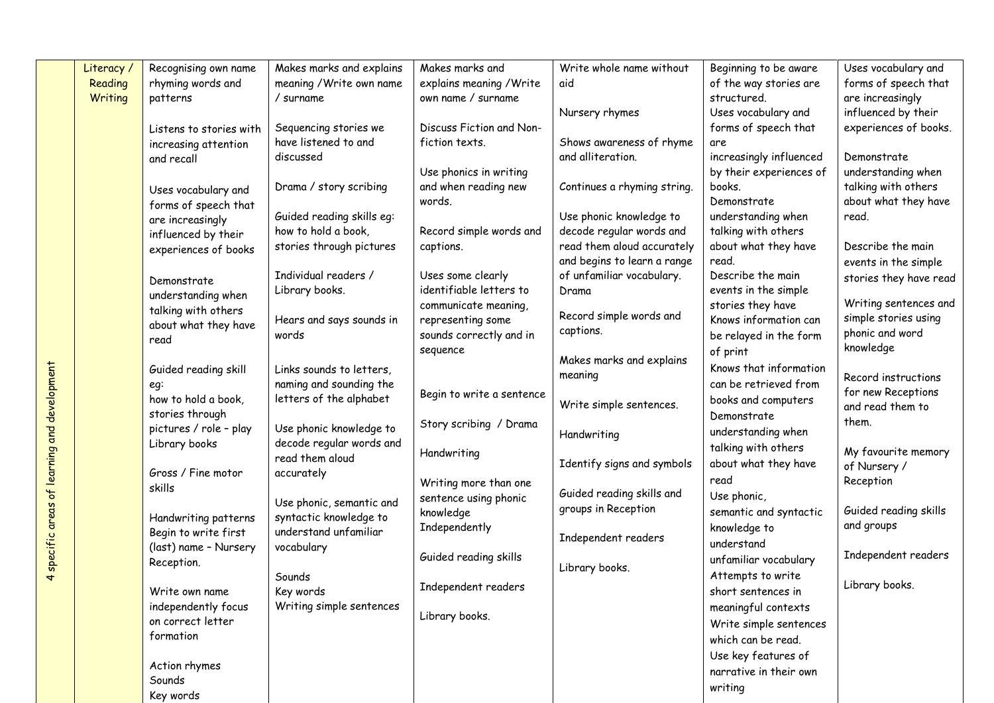|                             | Literacy / | Recognising own name                         | Makes marks and explains                        | Makes marks and           | Write whole name without    | Beginning to be aware   | Uses vocabulary and          |
|-----------------------------|------------|----------------------------------------------|-------------------------------------------------|---------------------------|-----------------------------|-------------------------|------------------------------|
|                             | Reading    | rhyming words and                            | meaning / Write own name                        | explains meaning / Write  | aid                         | of the way stories are  | forms of speech that         |
|                             | Writing    | patterns                                     | / surname                                       | own name / surname        |                             | structured.             | are increasingly             |
|                             |            |                                              |                                                 |                           | Nursery rhymes              | Uses vocabulary and     | influenced by their          |
|                             |            | Listens to stories with                      | Sequencing stories we                           | Discuss Fiction and Non-  |                             | forms of speech that    | experiences of books.        |
|                             |            | increasing attention                         | have listened to and                            | fiction texts.            | Shows awareness of rhyme    | are                     |                              |
|                             |            | and recall                                   | discussed                                       |                           | and alliteration.           | increasingly influenced | Demonstrate                  |
|                             |            |                                              |                                                 | Use phonics in writing    |                             | by their experiences of | understanding when           |
|                             |            | Uses vocabulary and                          | Drama / story scribing                          | and when reading new      | Continues a rhyming string. | books.                  | talking with others          |
|                             |            | forms of speech that                         |                                                 | words.                    |                             | Demonstrate             | about what they have         |
|                             |            | are increasingly                             | Guided reading skills eg:                       |                           | Use phonic knowledge to     | understanding when      | read.                        |
|                             |            | influenced by their                          | how to hold a book,                             | Record simple words and   | decode regular words and    | talking with others     |                              |
|                             |            | experiences of books                         | stories through pictures                        | captions.                 | read them aloud accurately  | about what they have    | Describe the main            |
|                             |            |                                              |                                                 |                           | and begins to learn a range | read.                   | events in the simple         |
|                             |            | Demonstrate                                  | Individual readers /                            | Uses some clearly         | of unfamiliar vocabulary.   | Describe the main       | stories they have read       |
|                             |            | understanding when                           | Library books.                                  | identifiable letters to   | Drama                       | events in the simple    |                              |
|                             |            | talking with others                          |                                                 | communicate meaning,      | Record simple words and     | stories they have       | Writing sentences and        |
|                             |            | about what they have                         | Hears and says sounds in                        | representing some         | captions.                   | Knows information can   | simple stories using         |
|                             |            | read                                         | words                                           | sounds correctly and in   |                             | be relayed in the form  | phonic and word<br>knowledge |
|                             |            |                                              |                                                 | sequence                  | Makes marks and explains    | of print                |                              |
|                             |            | Guided reading skill                         | Links sounds to letters,                        |                           | meaning                     | Knows that information  | Record instructions          |
|                             |            | eg:                                          | naming and sounding the                         |                           |                             | can be retrieved from   | for new Receptions           |
|                             |            | how to hold a book,                          | letters of the alphabet                         | Begin to write a sentence | Write simple sentences.     | books and computers     | and read them to             |
|                             |            | stories through                              |                                                 | Story scribing / Drama    |                             | Demonstrate             | them.                        |
|                             |            | pictures / role - play                       | Use phonic knowledge to                         |                           | Handwriting                 | understanding when      |                              |
| of learning and development |            | Library books                                | decode regular words and                        | Handwriting               |                             | talking with others     | My favourite memory          |
|                             |            |                                              | read them aloud                                 |                           | Identify signs and symbols  | about what they have    | of Nursery /                 |
|                             |            | Gross / Fine motor                           | accurately                                      | Writing more than one     |                             | read                    | Reception                    |
|                             |            | skills                                       |                                                 | sentence using phonic     | Guided reading skills and   | Use phonic,             |                              |
| areas                       |            |                                              | Use phonic, semantic and                        | knowledge                 | groups in Reception         | semantic and syntactic  | Guided reading skills        |
|                             |            | Handwriting patterns<br>Begin to write first | syntactic knowledge to<br>understand unfamiliar | Independently             |                             | knowledge to            | and groups                   |
|                             |            | (last) name - Nursery                        | vocabulary                                      |                           | Independent readers         | understand              |                              |
| 4 specific                  |            | Reception.                                   |                                                 | Guided reading skills     |                             | unfamiliar vocabulary   | Independent readers          |
|                             |            |                                              | Sounds                                          |                           | Library books.              | Attempts to write       |                              |
|                             |            | Write own name                               | Key words                                       | Independent readers       |                             | short sentences in      | Library books.               |
|                             |            | independently focus                          | Writing simple sentences                        |                           |                             | meaningful contexts     |                              |
|                             |            | on correct letter                            |                                                 | Library books.            |                             | Write simple sentences  |                              |
|                             |            | formation                                    |                                                 |                           |                             | which can be read.      |                              |
|                             |            |                                              |                                                 |                           |                             |                         |                              |
|                             |            | Action rhymes                                |                                                 |                           |                             | Use key features of     |                              |
|                             |            | Sounds                                       |                                                 |                           |                             | narrative in their own  |                              |
|                             |            | Key words                                    |                                                 |                           |                             | writing                 |                              |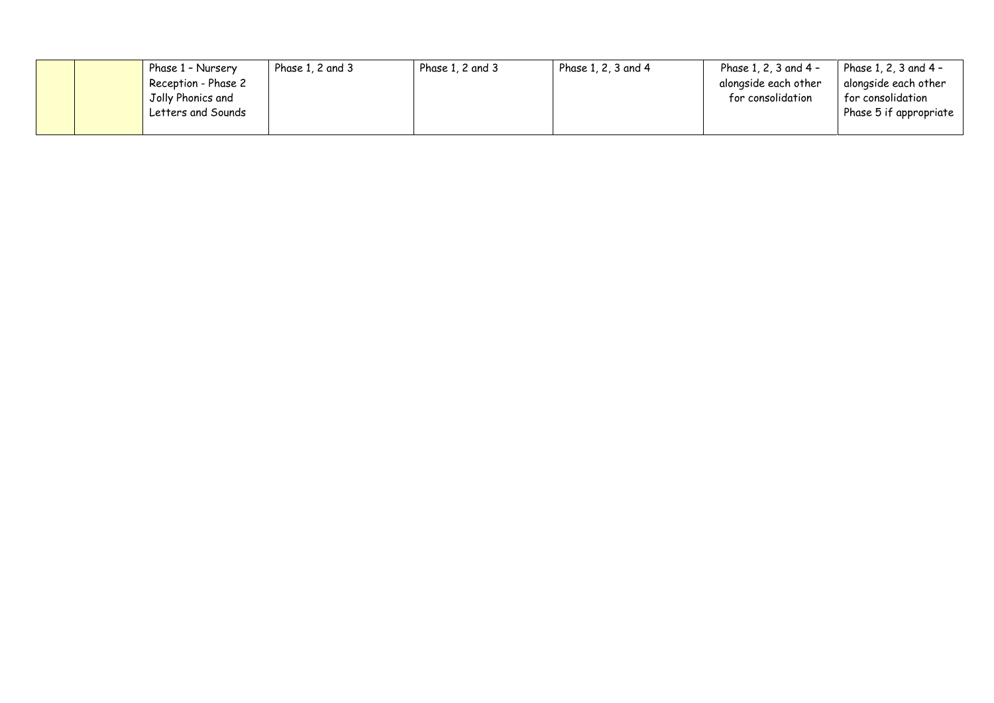|  | Phase 1 - Nursery   | Phase $1, 2$ and $3$ | Phase 1, 2 and 3 | Phase 1, 2, 3 and 4 | Phase $1, 2, 3$ and $4 -$ | Phase 1, 2, 3 and 4 -          |
|--|---------------------|----------------------|------------------|---------------------|---------------------------|--------------------------------|
|  | Reception - Phase 2 |                      |                  |                     | alongside each other      | alongside each other           |
|  | Jolly Phonics and   |                      |                  |                     | for consolidation         | for consolidation              |
|  | Letters and Sounds  |                      |                  |                     |                           | Phase 5 if appropriate $\vert$ |
|  |                     |                      |                  |                     |                           |                                |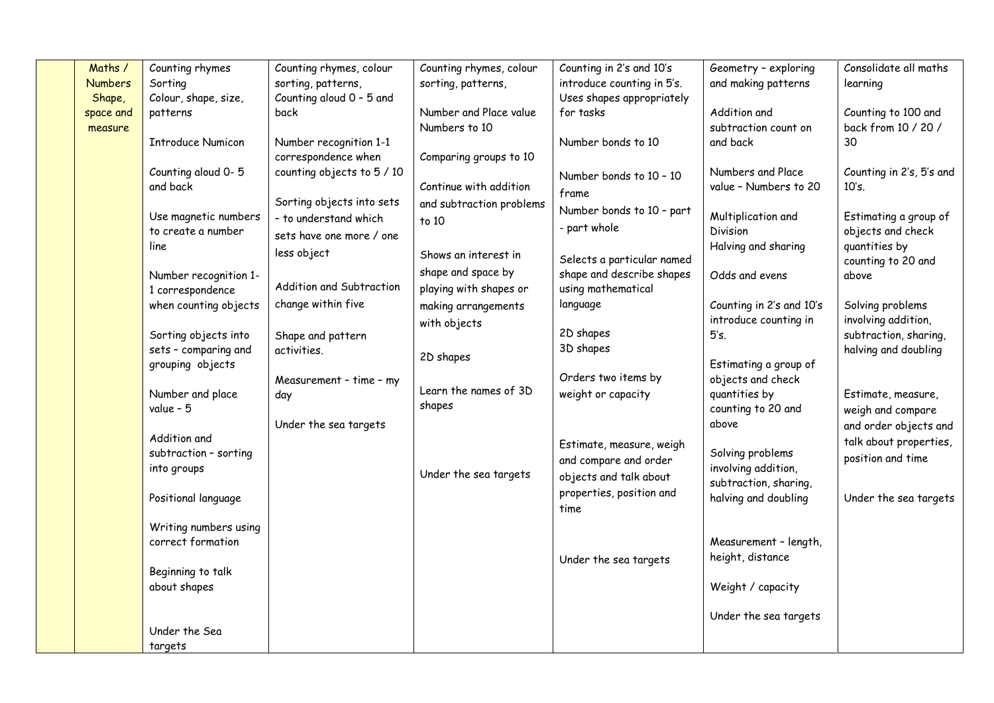| Maths /        | Counting rhymes                            | Counting rhymes, colour    | Counting rhymes, colour  | Counting in 2's and 10's                                | Geometry - exploring                      | Consolidate all maths    |
|----------------|--------------------------------------------|----------------------------|--------------------------|---------------------------------------------------------|-------------------------------------------|--------------------------|
| <b>Numbers</b> | Sorting                                    | sorting, patterns,         | sorting, patterns,       | introduce counting in 5's.                              | and making patterns                       | learning                 |
| Shape,         | Colour, shape, size,                       | Counting aloud 0 - 5 and   |                          | Uses shapes appropriately                               |                                           |                          |
| space and      | patterns                                   | back                       | Number and Place value   | for tasks                                               | Addition and                              | Counting to 100 and      |
| measure        |                                            |                            | Numbers to 10            |                                                         | subtraction count on                      | back from 10 / 20 /      |
|                | <b>Introduce Numicon</b>                   | Number recognition 1-1     |                          | Number bonds to 10                                      | and back                                  | 30                       |
|                |                                            | correspondence when        | Comparing groups to 10   |                                                         |                                           |                          |
|                | Counting aloud 0-5                         | counting objects to 5 / 10 |                          | Number bonds to 10 - 10                                 | Numbers and Place                         | Counting in 2's, 5's and |
|                | and back                                   |                            | Continue with addition   | frame                                                   | value - Numbers to 20                     | 10's.                    |
|                |                                            | Sorting objects into sets  | and subtraction problems | Number bonds to 10 - part                               |                                           |                          |
|                | Use magnetic numbers                       | - to understand which      | to 10                    | - part whole                                            | Multiplication and                        | Estimating a group of    |
|                | to create a number                         | sets have one more / one   |                          |                                                         | Division                                  | objects and check        |
|                | line                                       | less object                | Shows an interest in     |                                                         | Halving and sharing                       | quantities by            |
|                |                                            |                            | shape and space by       | Selects a particular named<br>shape and describe shapes | Odds and evens                            | counting to 20 and       |
|                | Number recognition 1-<br>1 correspondence  | Addition and Subtraction   | playing with shapes or   | using mathematical                                      |                                           | above                    |
|                | when counting objects                      | change within five         | making arrangements      | language                                                | Counting in 2's and 10's                  | Solving problems         |
|                |                                            |                            |                          |                                                         | introduce counting in                     | involving addition,      |
|                | Sorting objects into                       | Shape and pattern          | with objects             | 2D shapes                                               | 5's.                                      | subtraction, sharing,    |
|                | sets - comparing and                       | activities.                |                          | 3D shapes                                               |                                           | halving and doubling     |
|                | grouping objects                           |                            | 2D shapes                |                                                         | Estimating a group of                     |                          |
|                |                                            | Measurement - time - my    |                          | Orders two items by                                     | objects and check                         |                          |
|                | Number and place                           | day                        | Learn the names of 3D    | weight or capacity                                      | quantities by                             | Estimate, measure,       |
|                | value - $5$                                |                            | shapes                   |                                                         | counting to 20 and                        | weigh and compare        |
|                |                                            | Under the sea targets      |                          |                                                         | above                                     | and order objects and    |
|                | Addition and                               |                            |                          | Estimate, measure, weigh                                |                                           | talk about properties,   |
|                | subtraction - sorting                      |                            |                          | and compare and order                                   | Solving problems                          | position and time        |
|                | into groups                                |                            | Under the sea targets    | objects and talk about                                  | involving addition,                       |                          |
|                |                                            |                            |                          | properties, position and                                | subtraction, sharing,                     |                          |
|                | Positional language                        |                            |                          | time                                                    | halving and doubling                      | Under the sea targets    |
|                |                                            |                            |                          |                                                         |                                           |                          |
|                | Writing numbers using<br>correct formation |                            |                          |                                                         |                                           |                          |
|                |                                            |                            |                          |                                                         | Measurement - length,<br>height, distance |                          |
|                | Beginning to talk                          |                            |                          | Under the sea targets                                   |                                           |                          |
|                | about shapes                               |                            |                          |                                                         | Weight / capacity                         |                          |
|                |                                            |                            |                          |                                                         |                                           |                          |
|                |                                            |                            |                          |                                                         | Under the sea targets                     |                          |
|                | Under the Sea                              |                            |                          |                                                         |                                           |                          |
|                | targets                                    |                            |                          |                                                         |                                           |                          |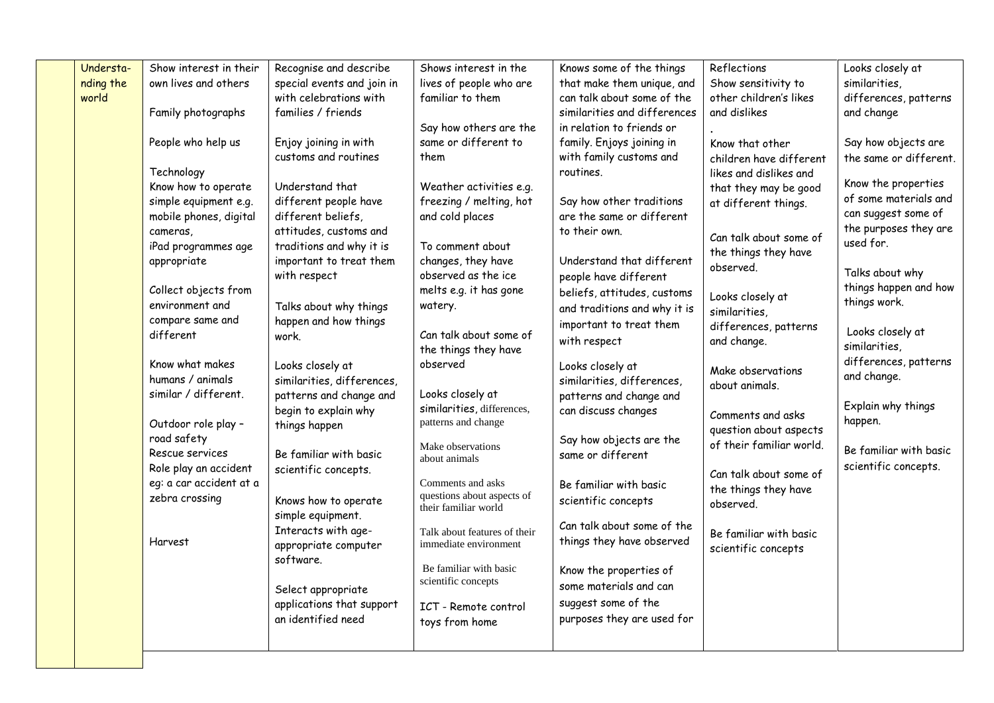| Understa- | Show interest in their         | Recognise and describe                      | Shows interest in the                                 | Knows some of the things     | Reflections              | Looks closely at                  |
|-----------|--------------------------------|---------------------------------------------|-------------------------------------------------------|------------------------------|--------------------------|-----------------------------------|
| nding the | own lives and others           | special events and join in                  | lives of people who are                               | that make them unique, and   | Show sensitivity to      | similarities,                     |
| world     |                                | with celebrations with                      | familiar to them                                      | can talk about some of the   | other children's likes   | differences, patterns             |
|           | Family photographs             | families / friends                          |                                                       | similarities and differences | and dislikes             | and change                        |
|           |                                |                                             | Say how others are the                                | in relation to friends or    |                          |                                   |
|           | People who help us             | Enjoy joining in with                       | same or different to                                  | family. Enjoys joining in    | Know that other          | Say how objects are               |
|           |                                | customs and routines                        | them                                                  | with family customs and      | children have different  | the same or different.            |
|           | Technology                     |                                             |                                                       | routines.                    | likes and dislikes and   |                                   |
|           | Know how to operate            | Understand that                             | Weather activities e.g.                               |                              | that they may be good    | Know the properties               |
|           | simple equipment e.g.          | different people have                       | freezing / melting, hot                               | Say how other traditions     | at different things.     | of some materials and             |
|           | mobile phones, digital         | different beliefs,                          | and cold places                                       | are the same or different    |                          | can suggest some of               |
|           | cameras,                       | attitudes, customs and                      |                                                       | to their own.                | Can talk about some of   | the purposes they are             |
|           | iPad programmes age            | traditions and why it is                    | To comment about                                      |                              | the things they have     | used for.                         |
|           | appropriate                    | important to treat them                     | changes, they have                                    | Understand that different    | observed.                |                                   |
|           |                                | with respect                                | observed as the ice                                   | people have different        |                          | Talks about why                   |
|           | Collect objects from           |                                             | melts e.g. it has gone                                | beliefs, attitudes, customs  | Looks closely at         | things happen and how             |
|           | environment and                | Talks about why things                      | watery.                                               | and traditions and why it is | similarities,            | things work.                      |
|           | compare same and               | happen and how things                       |                                                       | important to treat them      | differences, patterns    |                                   |
|           | different                      | work.                                       | Can talk about some of                                | with respect                 | and change.              | Looks closely at<br>similarities, |
|           |                                |                                             | the things they have                                  |                              |                          | differences, patterns             |
|           | Know what makes                | Looks closely at                            | observed                                              | Looks closely at             | Make observations        | and change.                       |
|           | humans / animals               | similarities, differences,                  |                                                       | similarities, differences,   | about animals.           |                                   |
|           | similar / different.           | patterns and change and                     | Looks closely at                                      | patterns and change and      |                          | Explain why things                |
|           |                                | begin to explain why                        | similarities, differences,<br>patterns and change     | can discuss changes          | Comments and asks        | happen.                           |
|           | Outdoor role play -            | things happen                               |                                                       |                              | question about aspects   |                                   |
|           | road safety<br>Rescue services |                                             | Make observations                                     | Say how objects are the      | of their familiar world. | Be familiar with basic            |
|           | Role play an accident          | Be familiar with basic                      | about animals                                         | same or different            |                          | scientific concepts.              |
|           | eg: a car accident at a        | scientific concepts.                        | Comments and asks                                     |                              | Can talk about some of   |                                   |
|           | zebra crossing                 |                                             | questions about aspects of                            | Be familiar with basic       | the things they have     |                                   |
|           |                                | Knows how to operate                        | their familiar world                                  | scientific concepts          | observed.                |                                   |
|           |                                | simple equipment.                           |                                                       | Can talk about some of the   |                          |                                   |
|           | Harvest                        | Interacts with age-<br>appropriate computer | Talk about features of their<br>immediate environment | things they have observed    | Be familiar with basic   |                                   |
|           |                                | software.                                   |                                                       |                              | scientific concepts      |                                   |
|           |                                |                                             | Be familiar with basic                                | Know the properties of       |                          |                                   |
|           |                                | Select appropriate                          | scientific concepts                                   | some materials and can       |                          |                                   |
|           |                                | applications that support                   | ICT - Remote control                                  | suggest some of the          |                          |                                   |
|           |                                | an identified need                          | toys from home                                        | purposes they are used for   |                          |                                   |
|           |                                |                                             |                                                       |                              |                          |                                   |
|           |                                |                                             |                                                       |                              |                          |                                   |
|           |                                |                                             |                                                       |                              |                          |                                   |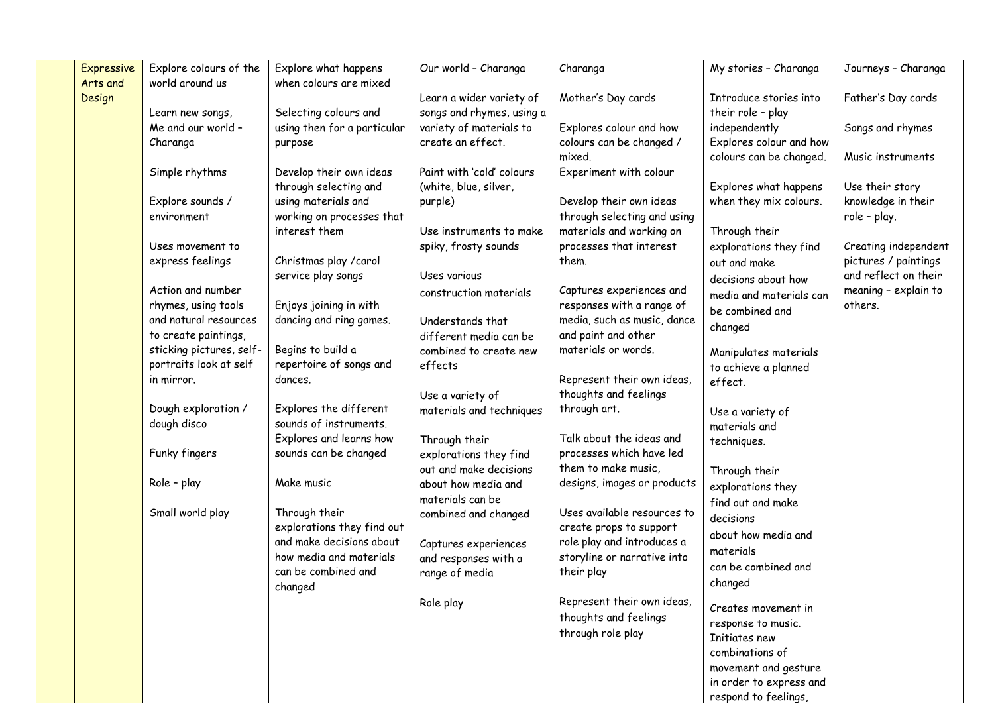| <b>Expressive</b>  | Explore colours of the   | Explore what happens                           | Our world - Charanga      | Charanga                                              | My stories - Charanga                           | Journeys - Charanga             |
|--------------------|--------------------------|------------------------------------------------|---------------------------|-------------------------------------------------------|-------------------------------------------------|---------------------------------|
| Arts and<br>Design | world around us          | when colours are mixed                         | Learn a wider variety of  | Mother's Day cards                                    | Introduce stories into                          | Father's Day cards              |
|                    | Learn new songs,         | Selecting colours and                          | songs and rhymes, using a |                                                       | their role - play                               |                                 |
|                    | Me and our world -       | using then for a particular                    | variety of materials to   | Explores colour and how                               | independently                                   | Songs and rhymes                |
|                    | Charanga                 | purpose                                        | create an effect.         | colours can be changed /                              | Explores colour and how                         |                                 |
|                    |                          |                                                |                           | mixed.                                                | colours can be changed.                         | Music instruments               |
|                    | Simple rhythms           | Develop their own ideas                        | Paint with 'cold' colours | Experiment with colour                                |                                                 |                                 |
|                    |                          | through selecting and                          | (white, blue, silver,     |                                                       | Explores what happens                           | Use their story                 |
|                    | Explore sounds /         | using materials and                            | purple)                   | Develop their own ideas                               | when they mix colours.                          | knowledge in their              |
|                    | environment              | working on processes that                      |                           | through selecting and using                           |                                                 | role - play.                    |
|                    |                          | interest them                                  | Use instruments to make   | materials and working on                              | Through their                                   |                                 |
|                    | Uses movement to         |                                                | spiky, frosty sounds      | processes that interest                               | explorations they find                          | Creating independent            |
|                    | express feelings         | Christmas play / carol                         |                           | them.                                                 | out and make                                    | pictures / paintings            |
|                    | Action and number        | service play songs                             | Uses various              |                                                       | decisions about how                             | and reflect on their            |
|                    | rhymes, using tools      | Enjoys joining in with                         | construction materials    | Captures experiences and<br>responses with a range of | media and materials can                         | meaning - explain to<br>others. |
|                    | and natural resources    | dancing and ring games.                        | Understands that          | media, such as music, dance                           | be combined and                                 |                                 |
|                    | to create paintings,     |                                                | different media can be    | and paint and other                                   | changed                                         |                                 |
|                    | sticking pictures, self- | Begins to build a                              | combined to create new    | materials or words.                                   |                                                 |                                 |
|                    | portraits look at self   | repertoire of songs and                        | effects                   |                                                       | Manipulates materials<br>to achieve a planned   |                                 |
|                    | in mirror.               | dances.                                        |                           | Represent their own ideas,                            | effect.                                         |                                 |
|                    |                          |                                                | Use a variety of          | thoughts and feelings                                 |                                                 |                                 |
|                    | Dough exploration /      | Explores the different                         | materials and techniques  | through art.                                          | Use a variety of                                |                                 |
|                    | dough disco              | sounds of instruments.                         |                           |                                                       | materials and                                   |                                 |
|                    |                          | Explores and learns how                        | Through their             | Talk about the ideas and                              | techniques.                                     |                                 |
|                    | Funky fingers            | sounds can be changed                          | explorations they find    | processes which have led                              |                                                 |                                 |
|                    |                          |                                                | out and make decisions    | them to make music,                                   | Through their                                   |                                 |
|                    | Role - play              | Make music                                     | about how media and       | designs, images or products                           | explorations they                               |                                 |
|                    |                          |                                                | materials can be          |                                                       | find out and make                               |                                 |
|                    | Small world play         | Through their                                  | combined and changed      | Uses available resources to                           | decisions                                       |                                 |
|                    |                          | explorations they find out                     |                           | create props to support                               | about how media and                             |                                 |
|                    |                          | and make decisions about                       | Captures experiences      | role play and introduces a                            | materials                                       |                                 |
|                    |                          | how media and materials<br>can be combined and | and responses with a      | storyline or narrative into                           | can be combined and                             |                                 |
|                    |                          | changed                                        | range of media            | their play                                            | changed                                         |                                 |
|                    |                          |                                                | Role play                 | Represent their own ideas,                            |                                                 |                                 |
|                    |                          |                                                |                           | thoughts and feelings                                 | Creates movement in                             |                                 |
|                    |                          |                                                |                           | through role play                                     | response to music.                              |                                 |
|                    |                          |                                                |                           |                                                       | Initiates new                                   |                                 |
|                    |                          |                                                |                           |                                                       | combinations of                                 |                                 |
|                    |                          |                                                |                           |                                                       | movement and gesture                            |                                 |
|                    |                          |                                                |                           |                                                       | in order to express and<br>respond to feelings, |                                 |
|                    |                          |                                                |                           |                                                       |                                                 |                                 |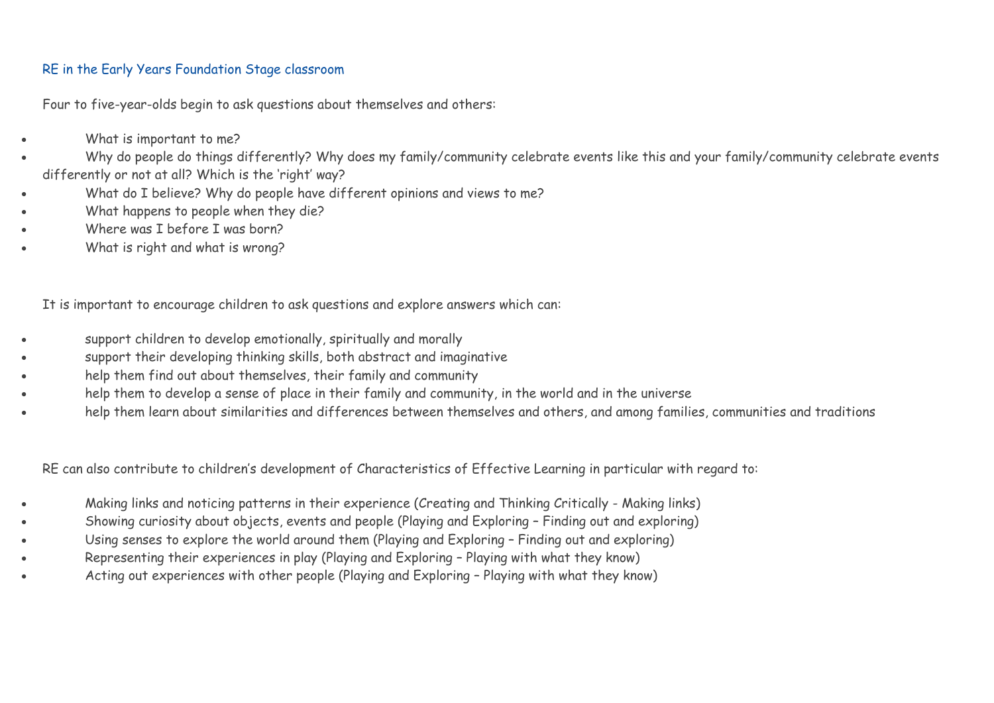## RE in the Early Years Foundation Stage classroom

Four to five-year-olds begin to ask questions about themselves and others:

- What is important to me?
- Why do people do things differently? Why does my family/community celebrate events like this and your family/community celebrate events differently or not at all? Which is the 'right' way?
- What do I believe? Why do people have different opinions and views to me?
- What happens to people when they die?
- Where was I before I was born?
- What is right and what is wrong?

It is important to encourage children to ask questions and explore answers which can:

- support children to develop emotionally, spiritually and morally
- support their developing thinking skills, both abstract and imaginative
- help them find out about themselves, their family and community
- help them to develop a sense of place in their family and community, in the world and in the universe
- help them learn about similarities and differences between themselves and others, and among families, communities and traditions

RE can also contribute to children's development of Characteristics of Effective Learning in particular with regard to:

- Making links and noticing patterns in their experience (Creating and Thinking Critically Making links)
- Showing curiosity about objects, events and people (Playing and Exploring Finding out and exploring)
- Using senses to explore the world around them (Playing and Exploring Finding out and exploring)
- Representing their experiences in play (Playing and Exploring Playing with what they know)
- Acting out experiences with other people (Playing and Exploring Playing with what they know)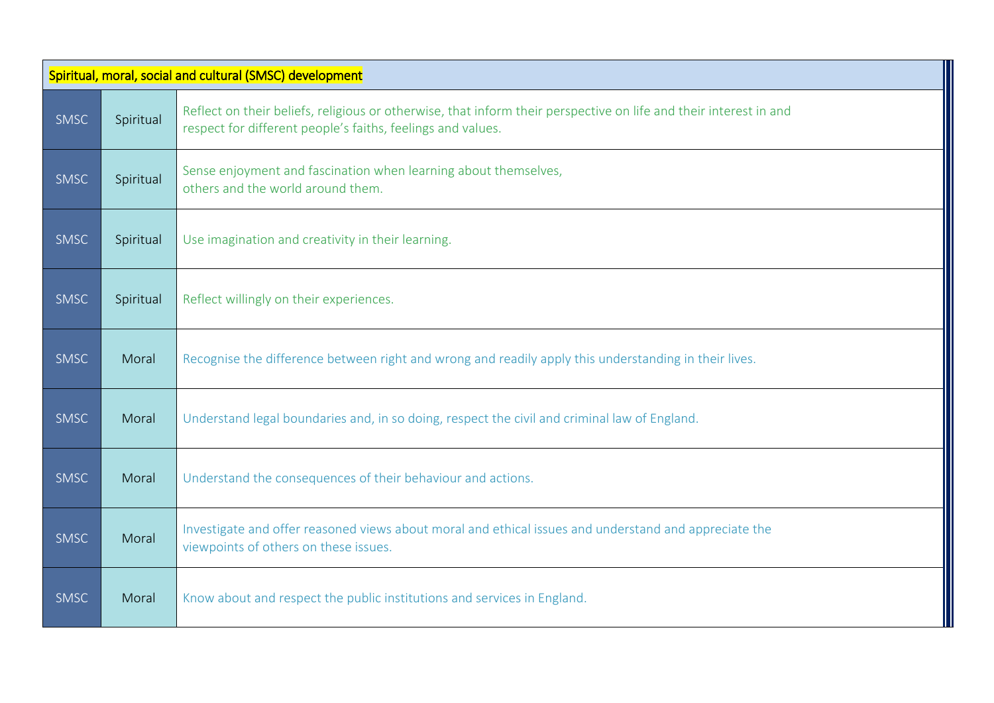|             | Spiritual, moral, social and cultural (SMSC) development |                                                                                                                                                                                  |  |  |  |
|-------------|----------------------------------------------------------|----------------------------------------------------------------------------------------------------------------------------------------------------------------------------------|--|--|--|
| <b>SMSC</b> | Spiritual                                                | Reflect on their beliefs, religious or otherwise, that inform their perspective on life and their interest in and<br>respect for different people's faiths, feelings and values. |  |  |  |
| <b>SMSC</b> | Spiritual                                                | Sense enjoyment and fascination when learning about themselves,<br>others and the world around them.                                                                             |  |  |  |
| <b>SMSC</b> | Spiritual                                                | Use imagination and creativity in their learning.                                                                                                                                |  |  |  |
| <b>SMSC</b> | Spiritual                                                | Reflect willingly on their experiences.                                                                                                                                          |  |  |  |
| <b>SMSC</b> | Moral                                                    | Recognise the difference between right and wrong and readily apply this understanding in their lives.                                                                            |  |  |  |
| <b>SMSC</b> | Moral                                                    | Understand legal boundaries and, in so doing, respect the civil and criminal law of England.                                                                                     |  |  |  |
| <b>SMSC</b> | Moral                                                    | Understand the consequences of their behaviour and actions.                                                                                                                      |  |  |  |
| <b>SMSC</b> | Moral                                                    | Investigate and offer reasoned views about moral and ethical issues and understand and appreciate the<br>viewpoints of others on these issues.                                   |  |  |  |
| <b>SMSC</b> | Moral                                                    | Know about and respect the public institutions and services in England.                                                                                                          |  |  |  |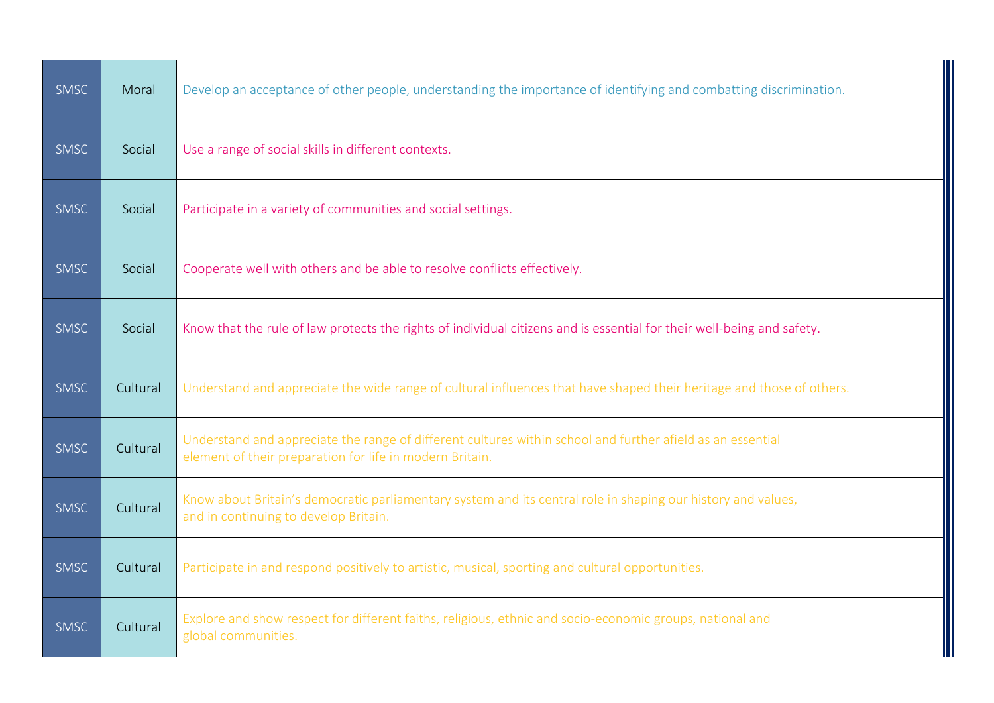| <b>SMSC</b> | Moral    | Develop an acceptance of other people, understanding the importance of identifying and combatting discrimination.                                                      |
|-------------|----------|------------------------------------------------------------------------------------------------------------------------------------------------------------------------|
| <b>SMSC</b> | Social   | Use a range of social skills in different contexts.                                                                                                                    |
| SMSC        | Social   | Participate in a variety of communities and social settings.                                                                                                           |
| <b>SMSC</b> | Social   | Cooperate well with others and be able to resolve conflicts effectively.                                                                                               |
| <b>SMSC</b> | Social   | Know that the rule of law protects the rights of individual citizens and is essential for their well-being and safety.                                                 |
| <b>SMSC</b> | Cultural | Understand and appreciate the wide range of cultural influences that have shaped their heritage and those of others.                                                   |
| <b>SMSC</b> | Cultural | Understand and appreciate the range of different cultures within school and further afield as an essential<br>element of their preparation for life in modern Britain. |
| <b>SMSC</b> | Cultural | Know about Britain's democratic parliamentary system and its central role in shaping our history and values,<br>and in continuing to develop Britain.                  |
| <b>SMSC</b> | Cultural | Participate in and respond positively to artistic, musical, sporting and cultural opportunities.                                                                       |
| <b>SMSC</b> | Cultural | Explore and show respect for different faiths, religious, ethnic and socio-economic groups, national and<br>global communities.                                        |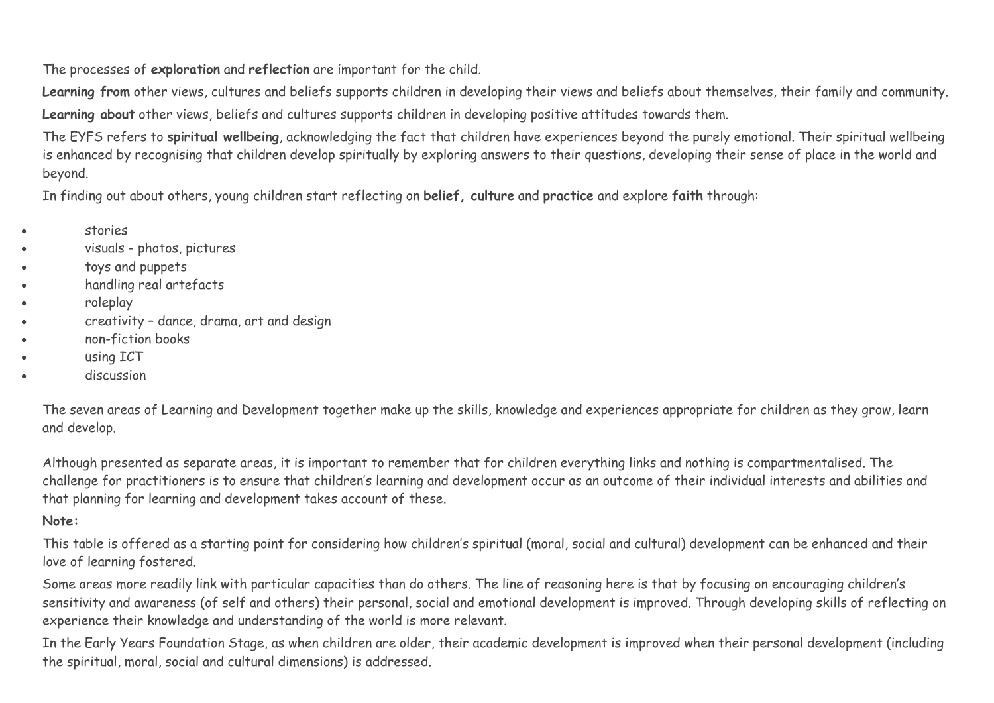The processes of **exploration** and **reflection** are important for the child.

Learning from other views, cultures and beliefs supports children in developing their views and beliefs about themselves, their family and community. **Learning about** other views, beliefs and cultures supports children in developing positive attitudes towards them.

The EYFS refers to **spiritual wellbeing**, acknowledging the fact that children have experiences beyond the purely emotional. Their spiritual wellbeing is enhanced by recognising that children develop spiritually by exploring answers to their questions, developing their sense of place in the world and beyond.

In finding out about others, young children start reflecting on **belief, culture** and **practice** and explore **faith** through:

- stories
- visuals photos, pictures
- toys and puppets
- handling real artefacts
- roleplay
- creativity dance, drama, art and design
- non-fiction books
- using ICT
- discussion

The seven areas of Learning and Development together make up the skills, knowledge and experiences appropriate for children as they grow, learn and develop.

Although presented as separate areas, it is important to remember that for children everything links and nothing is compartmentalised. The challenge for practitioners is to ensure that children's learning and development occur as an outcome of their individual interests and abilities and that planning for learning and development takes account of these.

## **Note:**

This table is offered as a starting point for considering how children's spiritual (moral, social and cultural) development can be enhanced and their love of learning fostered.

Some areas more readily link with particular capacities than do others. The line of reasoning here is that by focusing on encouraging children's sensitivity and awareness (of self and others) their personal, social and emotional development is improved. Through developing skills of reflecting on experience their knowledge and understanding of the world is more relevant.

In the Early Years Foundation Stage, as when children are older, their academic development is improved when their personal development (including the spiritual, moral, social and cultural dimensions) is addressed.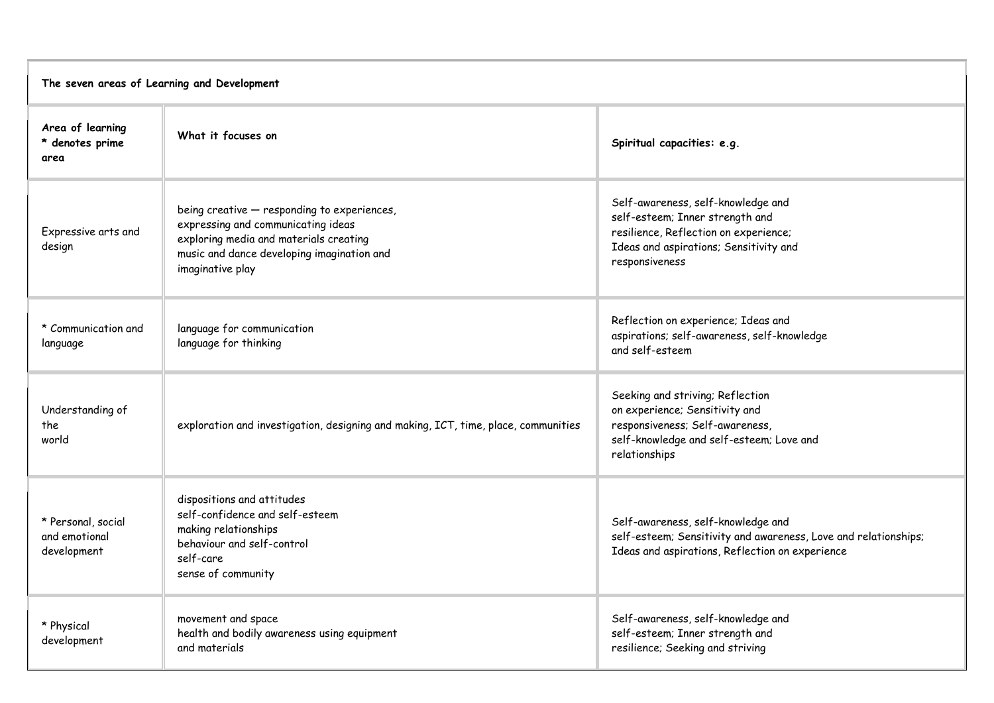| The seven areas of Learning and Development        |                                                                                                                                                                                               |                                                                                                                                                                            |  |
|----------------------------------------------------|-----------------------------------------------------------------------------------------------------------------------------------------------------------------------------------------------|----------------------------------------------------------------------------------------------------------------------------------------------------------------------------|--|
| Area of learning<br>* denotes prime<br>area        | What it focuses on                                                                                                                                                                            | Spiritual capacities: e.g.                                                                                                                                                 |  |
| Expressive arts and<br>design                      | being creative - responding to experiences,<br>expressing and communicating ideas<br>exploring media and materials creating<br>music and dance developing imagination and<br>imaginative play | Self-awareness, self-knowledge and<br>self-esteem; Inner strength and<br>resilience, Reflection on experience;<br>Ideas and aspirations; Sensitivity and<br>responsiveness |  |
| * Communication and<br>language                    | language for communication<br>language for thinking                                                                                                                                           | Reflection on experience; Ideas and<br>aspirations; self-awareness, self-knowledge<br>and self-esteem                                                                      |  |
| Understanding of<br>the<br>world                   | exploration and investigation, designing and making, ICT, time, place, communities                                                                                                            | Seeking and striving; Reflection<br>on experience; Sensitivity and<br>responsiveness; Self-awareness,<br>self-knowledge and self-esteem; Love and<br>relationships         |  |
| * Personal, social<br>and emotional<br>development | dispositions and attitudes<br>self-confidence and self-esteem<br>making relationships<br>behaviour and self-control<br>self-care<br>sense of community                                        | Self-awareness, self-knowledge and<br>self-esteem; Sensitivity and awareness, Love and relationships;<br>Ideas and aspirations, Reflection on experience                   |  |
| * Physical<br>development                          | movement and space<br>health and bodily awareness using equipment<br>and materials                                                                                                            | Self-awareness, self-knowledge and<br>self-esteem; Inner strength and<br>resilience; Seeking and striving                                                                  |  |